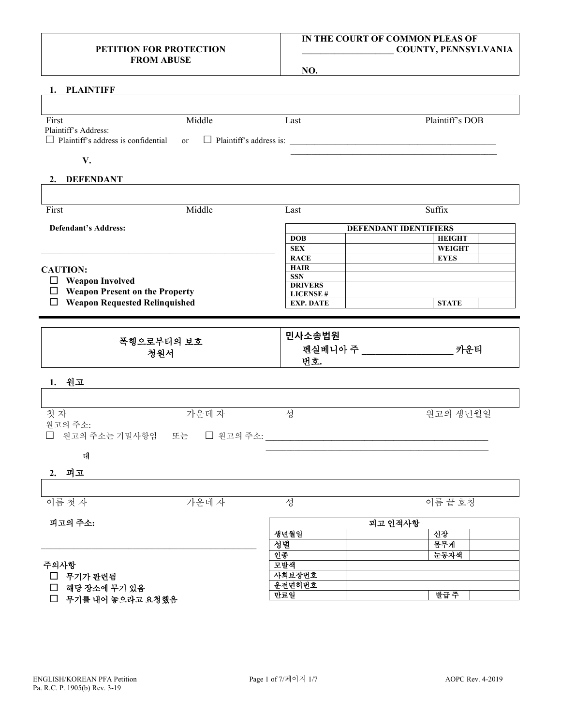## **PETITION FOR PROTECTION FROM ABUSE**

## **IN THE COURT OF COMMON PLEAS OF \_\_\_\_\_\_\_\_\_\_\_\_\_\_\_\_\_\_\_\_ COUNTY, PENNSYLVANIA**

**NO.**

## **1. PLAINTIFF**

| First                                                                                                | Middle | Last | Plaintiff's DOB |
|------------------------------------------------------------------------------------------------------|--------|------|-----------------|
| Plaintiff's Address:<br>$\Box$ Plaintiff's address is confidential or $\Box$ Plaintiff's address is: |        |      |                 |
|                                                                                                      |        |      |                 |

#### **2. DEFENDANT**

| First                                      | Middle | Last                         | Suffix        |  |  |
|--------------------------------------------|--------|------------------------------|---------------|--|--|
| Defendant's Address:                       |        | <b>DEFENDANT IDENTIFIERS</b> |               |  |  |
|                                            |        | <b>DOB</b>                   | <b>HEIGHT</b> |  |  |
|                                            |        | <b>SEX</b>                   | <b>WEIGHT</b> |  |  |
|                                            |        | <b>RACE</b>                  | <b>EYES</b>   |  |  |
| <b>CAUTION:</b>                            |        | <b>HAIR</b>                  |               |  |  |
| <b>Weapon Involved</b><br>$\Box$           |        | <b>SSN</b>                   |               |  |  |
|                                            |        | <b>DRIVERS</b>               |               |  |  |
| <b>Weapon Present on the Property</b><br>□ |        | <b>LICENSE#</b>              |               |  |  |
| <b>Weapon Requested Relinquished</b>       |        | <b>EXP. DATE</b>             | <b>STATE</b>  |  |  |

| 폭행으로부터의 보호<br>청원서 | 민사소송법원<br>펜실베니아 주<br>카운티 |
|-------------------|--------------------------|
|                   | 번호.                      |

#### **1.** 원고

| 첫자                                      | 가운데자 | 원고의 생년월일 |
|-----------------------------------------|------|----------|
| 원고의 주소:<br>□ 원고의 주소는 기밀사항임 또는 □ 원고의 주소: |      |          |

## 대

## **2.** 피고

| $\equiv$<br>- 1<br>$\overline{\phantom{a}}$<br>이틀<br>$\sim$ | 데<br>$\overline{\phantom{0}}$<br>$\sim$<br>$\circ$<br>上午<br>$\overline{\phantom{0}}$ | $\overline{\phantom{0}}$<br>-<br>$\overline{\phantom{0}}$<br>$\equiv$<br>$-$<br>ᆮ<br>، جلب<br>. . |
|-------------------------------------------------------------|--------------------------------------------------------------------------------------|---------------------------------------------------------------------------------------------------|

| 피고의 주소:                                                            | 피고 인적사항 |      |  |  |
|--------------------------------------------------------------------|---------|------|--|--|
|                                                                    | 생년월일    | 신장   |  |  |
|                                                                    | 성별      | 몸무게  |  |  |
| 주의사항<br>$\Box$<br>무기가 관련됨<br>П<br>해당 장소에 무기 있음<br>무기를 내어 놓으라고 요청했음 | 인종      | 눈동자색 |  |  |
|                                                                    | 모발색     |      |  |  |
|                                                                    | 사회보장번호  |      |  |  |
|                                                                    | 운전면허번호  |      |  |  |
|                                                                    | 만료일     | 발급 주 |  |  |
|                                                                    |         |      |  |  |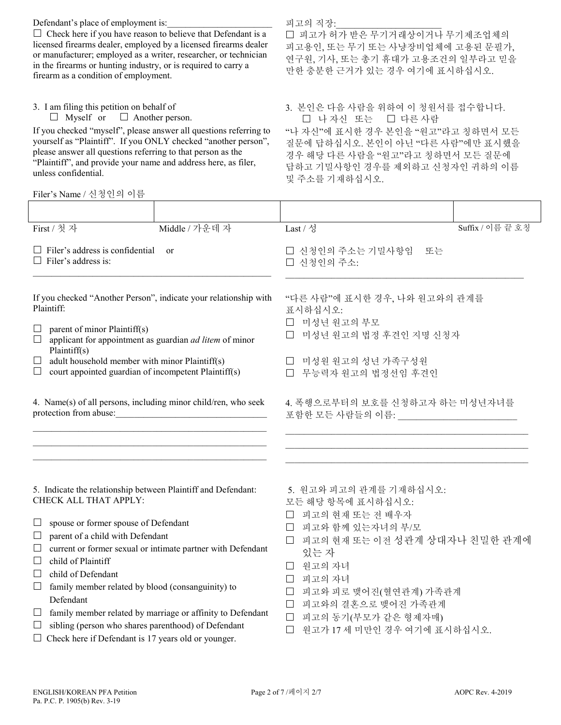Defendant's place of employment is:  $\Box$  Check here if you have reason to believe that Defendant is a licensed firearms dealer, employed by a licensed firearms dealer or manufacturer; employed as a writer, researcher, or technician in the firearms or hunting industry, or is required to carry a firearm as a condition of employment. 피고의 직장: 피고가 허가 받은 무기거래상이거나 무기제조업체의 피고용인, 또는 무기 또는 사냥장비업체에 고용된 문필가, 연구원, 기사, 또는 총기 휴대가 고용조건의 일부라고 믿을 만한 충분한 근거가 있는 경우 여기에 표시하십시오. 3. I am filing this petition on behalf of  $\Box$  Myself or  $\Box$  Another person. 3. 본인은 다음 사람을 위하여 이 청원서를 접수합니다. □ 나 자신 또는 □ 다른 사람 If you checked "myself", please answer all questions referring to yourself as "Plaintiff". If you ONLY checked "another person", please answer all questions referring to that person as the "Plaintiff", and provide your name and address here, as filer, unless confidential. "나 자신"에 표시한 경우 본인을 "원고"라고 칭하면서 모든 질문에 답하십시오. 본인이 아닌 "다른 사람"에만 표시했을 경우 해당 다른 사람을 "원고"라고 칭하면서 모든 질문에 답하고 기밀사항인 경우를 제외하고 신청자인 귀하의 이름 및 주소를 기재하십시오. Filer's Name / 신청인의 이름 First / 첫 자 Middle / 가운데 자 Last / 성 Suffix / 이름 끝 호칭  $\Box$  Filer's address is confidential or  $\Box$  Filer's address is: \_\_\_\_\_\_\_\_\_\_\_\_\_\_\_\_\_\_\_\_\_\_\_\_\_\_\_\_\_\_\_\_\_\_\_\_\_\_\_\_\_\_\_\_\_\_\_\_\_\_\_\_ 신청인의 주소는 기밀사항임 또는 신청인의 주소:  $\mathcal{L}_\text{max}$  and  $\mathcal{L}_\text{max}$  and  $\mathcal{L}_\text{max}$  and  $\mathcal{L}_\text{max}$  and  $\mathcal{L}_\text{max}$ If you checked "Another Person", indicate your relationship with Plaintiff:  $\Box$  parent of minor Plaintiff(s)  $\Box$  applicant for appointment as guardian *ad litem* of minor Plaintiff(s)  $\Box$  adult household member with minor Plaintiff(s)  $\Box$  court appointed guardian of incompetent Plaintiff(s) "다른 사람"에 표시한 경우, 나와 원고와의 관계를 표시하십시오: 미성년 원고의 부모 □ 미성년 원고의 법정 후견인 지명 신청자 □ 미성원 원고의 성년 가족구성원 무능력자 원고의 법정선임 후견인

4. Name(s) of all persons, including minor child/ren, who seek protection from abuse:

 $\mathcal{L}_\text{max} = \mathcal{L}_\text{max} = \mathcal{L}_\text{max} = \mathcal{L}_\text{max} = \mathcal{L}_\text{max} = \mathcal{L}_\text{max} = \mathcal{L}_\text{max} = \mathcal{L}_\text{max} = \mathcal{L}_\text{max} = \mathcal{L}_\text{max} = \mathcal{L}_\text{max} = \mathcal{L}_\text{max} = \mathcal{L}_\text{max} = \mathcal{L}_\text{max} = \mathcal{L}_\text{max} = \mathcal{L}_\text{max} = \mathcal{L}_\text{max} = \mathcal{L}_\text{max} = \mathcal{$ \_\_\_\_\_\_\_\_\_\_\_\_\_\_\_\_\_\_\_\_\_\_\_\_\_\_\_\_\_\_\_\_\_\_\_\_\_\_\_\_\_\_\_\_\_\_\_\_\_\_\_ \_\_\_\_\_\_\_\_\_\_\_\_\_\_\_\_\_\_\_\_\_\_\_\_\_\_\_\_\_\_\_\_\_\_\_\_\_\_\_\_\_\_\_\_\_\_\_\_\_\_\_

5. Indicate the relationship between Plaintiff and Defendant: CHECK ALL THAT APPLY:

- □ spouse or former spouse of Defendant
- $\Box$  parent of a child with Defendant
- $\Box$  current or former sexual or intimate partner with Defendant
- $\Box$  child of Plaintiff
- $\Box$  child of Defendant
- $\Box$  family member related by blood (consanguinity) to Defendant
- $\Box$  family member related by marriage or affinity to Defendant
- $\Box$  sibling (person who shares parenthood) of Defendant
- $\Box$  Check here if Defendant is 17 years old or younger.

5. 원고와 피고의 관계를 기재하십시오:

포함한 모든 사람들의 이름:

- 모든 해당 항목에 표시하십시오:
- 피고의 현재 또는 전 배우자
- 피고와 함께 있는자녀의 부/모
- 피고의 현재 또는 이전 성관계 상대자나 친밀한 관계에 있는 자

4. 폭행으로부터의 보호를 신청하고자 하는 미성년자녀를

 $\mathcal{L}_\text{max}$  and the set of the set of the set of the set of the set of the set of the set of the set of the set of \_\_\_\_\_\_\_\_\_\_\_\_\_\_\_\_\_\_\_\_\_\_\_\_\_\_\_\_\_\_\_\_\_\_\_\_\_\_\_\_\_\_\_\_\_\_\_\_\_\_\_\_\_ \_\_\_\_\_\_\_\_\_\_\_\_\_\_\_\_\_\_\_\_\_\_\_\_\_\_\_\_\_\_\_\_\_\_\_\_\_\_\_\_\_\_\_\_\_\_\_\_\_\_\_\_\_

- 원고의 자녀
- 피고의 자녀
- 피고와 피로 맺어진(혈연관계) 가족관계
- 피고와의 결혼으로 맺어진 가족관계
- 피고의 동기(부모가 같은 형제자매)
- 원고가 17 세 미만인 경우 여기에 표시하십시오.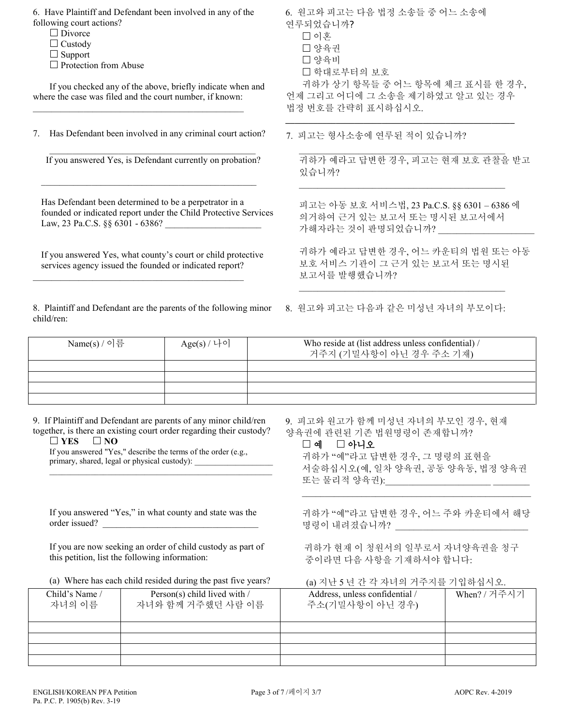6. Have Plaintiff and Defendant been involved in any of the following court actions? □ Divorce  $\Box$  Custody  $\Box$  Support  $\square$  Protection from Abuse If you checked any of the above, briefly indicate when and where the case was filed and the court number, if known:  $\mathcal{L}_\text{max}$  and  $\mathcal{L}_\text{max}$  and  $\mathcal{L}_\text{max}$  and  $\mathcal{L}_\text{max}$  and  $\mathcal{L}_\text{max}$ 7. Has Defendant been involved in any criminal court action? 6. 원고와 피고는 다음 법정 소송들 중 어느 소송에 연루되었습니까? 이혼 □양육권 양육비 학대로부터의 보호 귀하가 상기 항목들 중 어느 항목에 체크 표시를 한 경우, 언제 그리고 어디에 그 소송을 제기하였고 알고 있는 경우 법정 번호를 간략히 표시하십시오. **\_\_\_\_\_\_\_\_\_\_\_\_\_\_\_\_\_\_\_\_\_\_\_\_\_\_\_\_\_\_\_\_\_\_\_\_\_\_\_\_\_\_\_\_\_\_\_\_\_\_** 7. 피고는 형사소송에 연루된 적이 있습니까? \_\_\_\_\_\_\_\_\_\_\_\_\_\_\_\_\_\_\_\_\_\_\_\_\_\_\_\_\_\_\_\_\_\_\_\_\_\_\_\_\_\_\_\_\_ If you answered Yes, is Defendant currently on probation?  $\_$  ,  $\_$  ,  $\_$  ,  $\_$  ,  $\_$  ,  $\_$  ,  $\_$  ,  $\_$  ,  $\_$  ,  $\_$  ,  $\_$  ,  $\_$  ,  $\_$  ,  $\_$  ,  $\_$  ,  $\_$ Has Defendant been determined to be a perpetrator in a founded or indicated report under the Child Protective Services Law, 23 Pa.C.S. §§ 6301 - 6386? If you answered Yes, what county's court or child protective services agency issued the founded or indicated report? \_\_\_\_\_\_\_\_\_\_\_\_\_\_\_\_\_\_\_\_\_\_\_\_\_\_\_\_\_\_\_\_\_\_\_\_\_\_\_\_\_\_\_\_\_\_  $\_$  ,  $\_$  ,  $\_$  ,  $\_$  ,  $\_$  ,  $\_$  ,  $\_$  ,  $\_$  ,  $\_$  ,  $\_$  ,  $\_$  ,  $\_$  ,  $\_$  ,  $\_$  ,  $\_$  ,  $\_$ 귀하가 예라고 답변한 경우, 피고는 현재 보호 관찰을 받고 있습니까?  $\_$  ,  $\_$  ,  $\_$  ,  $\_$  ,  $\_$  ,  $\_$  ,  $\_$  ,  $\_$  ,  $\_$  ,  $\_$  ,  $\_$  ,  $\_$  ,  $\_$  ,  $\_$  ,  $\_$  ,  $\_$ 피고는 아동 보호 서비스법, 23 Pa.C.S. §§ 6301 – 6386 에 의거하여 근거 있는 보고서 또는 명시된 보고서에서 가해자라는 것이 판명되었습니까? \_\_\_\_\_\_\_\_\_\_\_\_\_\_\_\_\_\_\_\_\_ 귀하가 예라고 답변한 경우, 어느 카운티의 법원 또는 아동 보호 서비스 기관이 그 근거 있는 보고서 또는 명시된 보고서를 발행했습니까?  $\_$  ,  $\_$  ,  $\_$  ,  $\_$  ,  $\_$  ,  $\_$  ,  $\_$  ,  $\_$  ,  $\_$  ,  $\_$  ,  $\_$  ,  $\_$  ,  $\_$  ,  $\_$  ,  $\_$  ,  $\_$ 8. Plaintiff and Defendant are the parents of the following minor child/ren: 8. 원고와 피고는 다음과 같은 미성년 자녀의 부모이다: Name(s) / 이름  $Age(s) / \downarrow \circ$  Who reside at (list address unless confidential) / 거주지 (기밀사항이 아닌 경우 주소 기재)

9. If Plaintiff and Defendant are parents of any minor child/ren together, is there an existing court order regarding their custody?  $\Box$  YES  $\Box$  NO

If you answered "Yes," describe the terms of the order (e.g., primary, shared, legal or physical custody): \_\_\_\_\_\_\_\_\_\_\_\_\_\_\_\_\_\_\_\_\_\_\_\_\_\_\_\_\_\_\_\_\_\_\_

\_\_\_\_\_\_\_\_\_\_\_\_\_\_\_\_\_\_\_\_\_\_\_\_\_\_\_\_\_\_\_\_\_\_\_\_\_\_\_\_\_\_\_\_\_\_\_\_\_\_\_\_\_\_

If you answered "Yes," in what county and state was the

If you are now seeking an order of child custody as part of this petition, list the following information:

9. 피고와 원고가 함께 미성년 자녀의 부모인 경우, 현재 양육권에 관련된 기존 법원명령이 존재합니까?

## □ 예 □ 아니오

귀하가 "예"라고 답변한 경우, 그 명령의 표현을 서술하십시오(예, 일차 양육권, 공동 양육동, 법정 양육권 또는 물리적 양육권):\_\_\_\_\_\_\_\_\_\_\_\_\_\_\_\_\_\_\_\_\_\_\_ \_\_\_\_\_\_\_\_

귀하가 "예"라고 답변한 경우, 어느 주와 카운티에서 해당 명령이 내려졌습니까?

 $\mathcal{L}_\text{max}$  and  $\mathcal{L}_\text{max}$  and  $\mathcal{L}_\text{max}$  and  $\mathcal{L}_\text{max}$  and  $\mathcal{L}_\text{max}$ 

 귀하가 현재 이 청원서의 일부로서 자녀양육권을 청구 중이라면 다음 사항을 기재하셔야 합니다:

(a) Where has each child resided during the past five years? (a) 지난 5 년 간 각 자녀의 거주지를 기입하십시오.

| Child's Name /<br>자녀의 이름 | Person(s) child lived with /<br>자녀와 함께 거주했던 사람 이름 | Address, unless confidential /<br>주소(기밀사항이 아닌 경우) | When? / 거주시기 |
|--------------------------|---------------------------------------------------|---------------------------------------------------|--------------|
|                          |                                                   |                                                   |              |
|                          |                                                   |                                                   |              |
|                          |                                                   |                                                   |              |
|                          |                                                   |                                                   |              |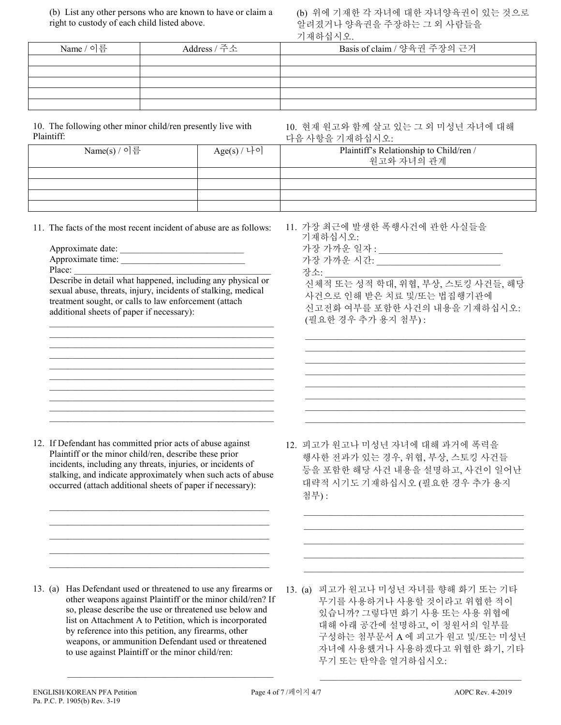(b) List any other persons who are known to have or claim a right to custody of each child listed above.

(b) 위에 기재한 각 자녀에 대한 자녀양육권이 있는 것으로 알려졌거나 양육권을 주장하는 그 외 사람들을 기재하십시오.

| Name / 이름 | Address / 주소 | Basis of claim / 양육권 주장의 근거 |
|-----------|--------------|-----------------------------|
|           |              |                             |
|           |              |                             |
|           |              |                             |
|           |              |                             |
|           |              |                             |

10. The following other minor child/ren presently live with Plaintiff:

10. 현재 원고와 함께 살고 있는 그 외 미성년 자녀에 대해 다음 사항을 기재하십시오:

| -----------  |             | '키 ㅁ ′ㅣ o ㄹ /ㅣ^\  이 ㅂ′ㅣㅗ.                             |
|--------------|-------------|-------------------------------------------------------|
| Name(s) / 이름 | Age(s) / 나이 | Plaintiff's Relationship to Child/ren /<br>원고와 자녀의 관계 |
|              |             |                                                       |
|              |             |                                                       |
|              |             |                                                       |
|              |             |                                                       |
|              |             |                                                       |

11. The facts of the most recent incident of abuse are as follows:

- Approximate date:
- Approximate time: Place:

Describe in detail what happened, including any physical or sexual abuse, threats, injury, incidents of stalking, medical treatment sought, or calls to law enforcement (attach additional sheets of paper if necessary):

\_\_\_\_\_\_\_\_\_\_\_\_\_\_\_\_\_\_\_\_\_\_\_\_\_\_\_\_\_\_\_\_\_\_\_\_\_\_\_\_\_\_\_\_\_\_\_\_\_ \_\_\_\_\_\_\_\_\_\_\_\_\_\_\_\_\_\_\_\_\_\_\_\_\_\_\_\_\_\_\_\_\_\_\_\_\_\_\_\_\_\_\_\_\_\_\_\_\_ \_\_\_\_\_\_\_\_\_\_\_\_\_\_\_\_\_\_\_\_\_\_\_\_\_\_\_\_\_\_\_\_\_\_\_\_\_\_\_\_\_\_\_\_\_\_\_\_\_ \_\_\_\_\_\_\_\_\_\_\_\_\_\_\_\_\_\_\_\_\_\_\_\_\_\_\_\_\_\_\_\_\_\_\_\_\_\_\_\_\_\_\_\_\_\_\_\_\_ \_\_\_\_\_\_\_\_\_\_\_\_\_\_\_\_\_\_\_\_\_\_\_\_\_\_\_\_\_\_\_\_\_\_\_\_\_\_\_\_\_\_\_\_\_\_\_\_\_

|  | $\mathbf{r} \cdot \mathbf{r} \cdot \mathbf{r} \cdot \mathbf{r} \cdot \mathbf{r} \cdot \mathbf{r} \cdot \mathbf{r} \cdot \mathbf{r} \cdot \mathbf{r} \cdot \mathbf{r} \cdot \mathbf{r} \cdot \mathbf{r} \cdot \mathbf{r} \cdot \mathbf{r} \cdot \mathbf{r} \cdot \mathbf{r} \cdot \mathbf{r} \cdot \mathbf{r} \cdot \mathbf{r} \cdot \mathbf{r} \cdot \mathbf{r} \cdot \mathbf{r} \cdot \mathbf{r} \cdot \mathbf{r} \cdot \mathbf{r} \cdot \mathbf{r} \cdot \mathbf{r} \cdot \mathbf{$ |  |  |  | ٠ |  |
|--|---------------------------------------------------------------------------------------------------------------------------------------------------------------------------------------------------------------------------------------------------------------------------------------------------------------------------------------------------------------------------------------------------------------------------------------------------------------------------------------|--|--|--|---|--|

12. If Defendant has committed prior acts of abuse against Plaintiff or the minor child/ren, describe these prior incidents, including any threats, injuries, or incidents of stalking, and indicate approximately when such acts of abuse occurred (attach additional sheets of paper if necessary):

 $\mathcal{L}_\text{max}$  and  $\mathcal{L}_\text{max}$  and  $\mathcal{L}_\text{max}$  and  $\mathcal{L}_\text{max}$  and  $\mathcal{L}_\text{max}$  $\mathcal{L}_\mathcal{L} = \{ \mathcal{L}_\mathcal{L} = \{ \mathcal{L}_\mathcal{L} = \{ \mathcal{L}_\mathcal{L} = \{ \mathcal{L}_\mathcal{L} = \{ \mathcal{L}_\mathcal{L} = \{ \mathcal{L}_\mathcal{L} = \{ \mathcal{L}_\mathcal{L} = \{ \mathcal{L}_\mathcal{L} = \{ \mathcal{L}_\mathcal{L} = \{ \mathcal{L}_\mathcal{L} = \{ \mathcal{L}_\mathcal{L} = \{ \mathcal{L}_\mathcal{L} = \{ \mathcal{L}_\mathcal{L} = \{ \mathcal{L}_\mathcal{$  $\mathcal{L}_\text{max}$  and  $\mathcal{L}_\text{max}$  and  $\mathcal{L}_\text{max}$  and  $\mathcal{L}_\text{max}$  and  $\mathcal{L}_\text{max}$  $\mathcal{L}_\mathcal{L} = \{ \mathcal{L}_\mathcal{L} = \{ \mathcal{L}_\mathcal{L} = \{ \mathcal{L}_\mathcal{L} = \{ \mathcal{L}_\mathcal{L} = \{ \mathcal{L}_\mathcal{L} = \{ \mathcal{L}_\mathcal{L} = \{ \mathcal{L}_\mathcal{L} = \{ \mathcal{L}_\mathcal{L} = \{ \mathcal{L}_\mathcal{L} = \{ \mathcal{L}_\mathcal{L} = \{ \mathcal{L}_\mathcal{L} = \{ \mathcal{L}_\mathcal{L} = \{ \mathcal{L}_\mathcal{L} = \{ \mathcal{L}_\mathcal{$  $\mathcal{L}_\mathcal{L} = \{ \mathcal{L}_\mathcal{L} = \{ \mathcal{L}_\mathcal{L} = \{ \mathcal{L}_\mathcal{L} = \{ \mathcal{L}_\mathcal{L} = \{ \mathcal{L}_\mathcal{L} = \{ \mathcal{L}_\mathcal{L} = \{ \mathcal{L}_\mathcal{L} = \{ \mathcal{L}_\mathcal{L} = \{ \mathcal{L}_\mathcal{L} = \{ \mathcal{L}_\mathcal{L} = \{ \mathcal{L}_\mathcal{L} = \{ \mathcal{L}_\mathcal{L} = \{ \mathcal{L}_\mathcal{L} = \{ \mathcal{L}_\mathcal{$  11. 가장 최근에 발생한 폭행사건에 관한 사실들을 기재하십시오: 가장 가까운 일자 : \_\_\_\_\_\_\_\_\_\_\_\_\_\_\_\_\_\_\_\_\_\_\_\_\_\_\_ 가장 가까운 시간: \_\_\_\_\_\_\_\_\_\_\_\_\_\_\_\_\_\_\_\_\_\_\_\_\_\_\_ 장소:

신체적 또는 성적 학대, 위협, 부상, 스토킹 사건들, 해당 사건으로 인해 받은 치료 및/또는 법집행기관에 신고전화 여부를 포함한 사건의 내용을 기재하십시오: (필요한 경우 추가 용지 첨부) :

 $\_$  . The contribution of the contribution of  $\mathcal{L}_\mathcal{A}$ \_\_\_\_\_\_\_\_\_\_\_\_\_\_\_\_\_\_\_\_\_\_\_\_\_\_\_\_\_\_\_\_\_\_\_\_\_\_\_\_\_\_\_\_\_\_\_\_

 $\_$  . The contribution of the contribution of  $\mathcal{L}_\mathcal{A}$ 

 $\_$  . The contribution of the contribution of  $\mathcal{L}_\mathcal{A}$  $\_$  . The contribution of the contribution of  $\mathcal{L}_\mathcal{A}$ 

12. 피고가 원고나 미성년 자녀에 대해 과거에 폭력을 행사한 전과가 있는 경우, 위협, 부상, 스토킹 사건들 등을 포함한 해당 사건 내용을 설명하고, 사건이 일어난 대략적 시기도 기재하십시오 (필요한 경우 추가 용지 첨부) :

 $\mathcal{L}_\text{max}$  , and the set of the set of the set of the set of the set of the set of the set of the set of the set of the set of the set of the set of the set of the set of the set of the set of the set of the set of the  $\mathcal{L}_\text{max} = \frac{1}{2} \sum_{i=1}^{n} \frac{1}{2} \sum_{i=1}^{n} \frac{1}{2} \sum_{i=1}^{n} \frac{1}{2} \sum_{i=1}^{n} \frac{1}{2} \sum_{i=1}^{n} \frac{1}{2} \sum_{i=1}^{n} \frac{1}{2} \sum_{i=1}^{n} \frac{1}{2} \sum_{i=1}^{n} \frac{1}{2} \sum_{i=1}^{n} \frac{1}{2} \sum_{i=1}^{n} \frac{1}{2} \sum_{i=1}^{n} \frac{1}{2} \sum_{i=1}^{n} \frac{1$  $\mathcal{L}_\text{max}$  , and the set of the set of the set of the set of the set of the set of the set of the set of the set of the set of the set of the set of the set of the set of the set of the set of the set of the set of the  $\mathcal{L}_\text{max}$  , and the set of the set of the set of the set of the set of the set of the set of the set of the set of the set of the set of the set of the set of the set of the set of the set of the set of the set of the  $\mathcal{L}_\text{max} = \frac{1}{2} \sum_{i=1}^{n} \frac{1}{2} \sum_{i=1}^{n} \frac{1}{2} \sum_{i=1}^{n} \frac{1}{2} \sum_{i=1}^{n} \frac{1}{2} \sum_{i=1}^{n} \frac{1}{2} \sum_{i=1}^{n} \frac{1}{2} \sum_{i=1}^{n} \frac{1}{2} \sum_{i=1}^{n} \frac{1}{2} \sum_{i=1}^{n} \frac{1}{2} \sum_{i=1}^{n} \frac{1}{2} \sum_{i=1}^{n} \frac{1}{2} \sum_{i=1}^{n} \frac{1$ 

13. (a) Has Defendant used or threatened to use any firearms or other weapons against Plaintiff or the minor child/ren? If so, please describe the use or threatened use below and list on Attachment A to Petition, which is incorporated by reference into this petition, any firearms, other weapons, or ammunition Defendant used or threatened to use against Plaintiff or the minor child/ren:

 $\overline{\phantom{a}}$  ,  $\overline{\phantom{a}}$  ,  $\overline{\phantom{a}}$  ,  $\overline{\phantom{a}}$  ,  $\overline{\phantom{a}}$  ,  $\overline{\phantom{a}}$  ,  $\overline{\phantom{a}}$  ,  $\overline{\phantom{a}}$  ,  $\overline{\phantom{a}}$  ,  $\overline{\phantom{a}}$  ,  $\overline{\phantom{a}}$  ,  $\overline{\phantom{a}}$  ,  $\overline{\phantom{a}}$  ,  $\overline{\phantom{a}}$  ,  $\overline{\phantom{a}}$  ,  $\overline{\phantom{a}}$ 

13. (a) 피고가 원고나 미성년 자녀를 향해 화기 또는 기타 무기를 사용하거나 사용할 것이라고 위협한 적이 있습니까? 그렇다면 화기 사용 또는 사용 위협에 대해 아래 공간에 설명하고, 이 청원서의 일부를 구성하는 첨부문서 A 에 피고가 원고 및/또는 미성년 자녀에 사용했거나 사용하겠다고 위협한 화기, 기타 무기 또는 탄약을 열거하십시오:

 $\frac{1}{2}$  ,  $\frac{1}{2}$  ,  $\frac{1}{2}$  ,  $\frac{1}{2}$  ,  $\frac{1}{2}$  ,  $\frac{1}{2}$  ,  $\frac{1}{2}$  ,  $\frac{1}{2}$  ,  $\frac{1}{2}$  ,  $\frac{1}{2}$  ,  $\frac{1}{2}$  ,  $\frac{1}{2}$  ,  $\frac{1}{2}$  ,  $\frac{1}{2}$  ,  $\frac{1}{2}$  ,  $\frac{1}{2}$  ,  $\frac{1}{2}$  ,  $\frac{1}{2}$  ,  $\frac{1$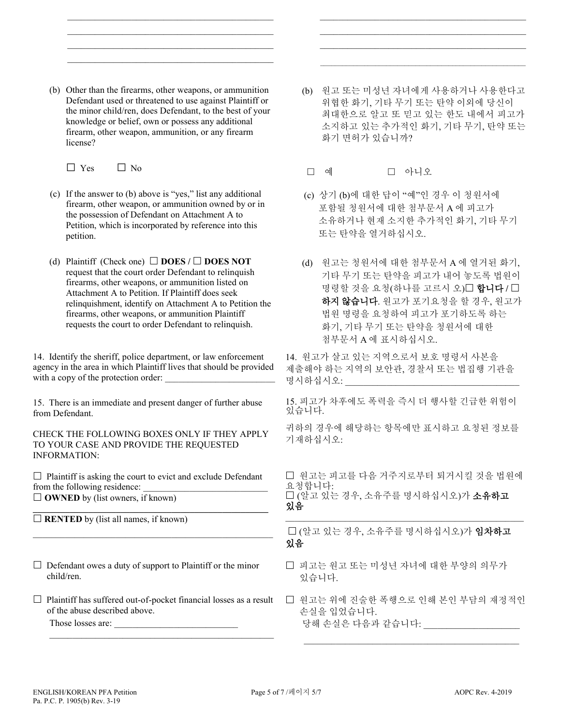(b) Other than the firearms, other weapons, or ammunition Defendant used or threatened to use against Plaintiff or the minor child/ren, does Defendant, to the best of your knowledge or belief, own or possess any additional firearm, other weapon, ammunition, or any firearm license?

 $\mathcal{L}=\underbrace{\mathcal{L}=\mathcal{L}=\mathcal{L}=\mathcal{L}=\mathcal{L}=\mathcal{L}=\mathcal{L}=\mathcal{L}=\mathcal{L}=\mathcal{L}=\mathcal{L}=\mathcal{L}=\mathcal{L}=\mathcal{L}=\mathcal{L}=\mathcal{L}=\mathcal{L}=\mathcal{L}=\mathcal{L}=\mathcal{L}=\mathcal{L}=\mathcal{L}=\mathcal{L}=\mathcal{L}=\mathcal{L}=\mathcal{L}=\mathcal{L}=\mathcal{L}=\mathcal{L}=\mathcal{L}=\mathcal{L}=\mathcal{L}=\mathcal{L}=\mathcal{L}=\mathcal{L}=\$  $\mathcal{L}_\text{max}$  , and the set of the set of the set of the set of the set of the set of the set of the set of the set of the set of the set of the set of the set of the set of the set of the set of the set of the set of the  $\mathcal{L}_\text{max}$  , and the set of the set of the set of the set of the set of the set of the set of the set of the set of the set of the set of the set of the set of the set of the set of the set of the set of the set of the  $\mathcal{L}=\underbrace{\mathcal{L}=\mathcal{L}=\mathcal{L}=\mathcal{L}=\mathcal{L}=\mathcal{L}=\mathcal{L}=\mathcal{L}=\mathcal{L}=\mathcal{L}=\mathcal{L}=\mathcal{L}=\mathcal{L}=\mathcal{L}=\mathcal{L}=\mathcal{L}=\mathcal{L}=\mathcal{L}=\mathcal{L}=\mathcal{L}=\mathcal{L}=\mathcal{L}=\mathcal{L}=\mathcal{L}=\mathcal{L}=\mathcal{L}=\mathcal{L}=\mathcal{L}=\mathcal{L}=\mathcal{L}=\mathcal{L}=\mathcal{L}=\mathcal{L}=\mathcal{L}=\mathcal{L}=\$ 

 $\Box$  Yes  $\Box$  No

- (c) If the answer to (b) above is "yes," list any additional firearm, other weapon, or ammunition owned by or in the possession of Defendant on Attachment A to Petition, which is incorporated by reference into this petition.
- (d) Plaintiff (Check one)  $\Box$  **DOES** /  $\Box$  **DOES NOT** request that the court order Defendant to relinquish firearms, other weapons, or ammunition listed on Attachment A to Petition. If Plaintiff does seek relinquishment, identify on Attachment A to Petition the firearms, other weapons, or ammunition Plaintiff requests the court to order Defendant to relinquish.

14. Identify the sheriff, police department, or law enforcement agency in the area in which Plaintiff lives that should be provided with a copy of the protection order:

15. There is an immediate and present danger of further abuse from Defendant.

CHECK THE FOLLOWING BOXES ONLY IF THEY APPLY TO YOUR CASE AND PROVIDE THE REQUESTED INFORMATION:

 $\Box$  Plaintiff is asking the court to evict and exclude Defendant from the following residence: **OWNED** by (list owners, if known)

 $\_$  , and the set of the set of the set of the set of the set of the set of the set of the set of the set of the set of the set of the set of the set of the set of the set of the set of the set of the set of the set of th

**\_\_\_\_\_\_\_\_\_\_\_\_\_\_\_\_\_\_\_\_\_\_\_\_\_\_\_\_\_\_\_\_\_\_\_\_\_\_\_\_\_\_\_\_\_\_\_\_\_\_\_**  $\Box$  **RENTED** by (list all names, if known)

- $\Box$  Defendant owes a duty of support to Plaintiff or the minor child/ren.
- $\Box$  Plaintiff has suffered out-of-pocket financial losses as a result of the abuse described above.

\_\_\_\_\_\_\_\_\_\_\_\_\_\_\_\_\_\_\_\_\_\_\_\_\_\_\_\_\_\_\_\_\_\_\_\_\_\_\_\_\_\_\_\_\_\_\_\_\_

Those losses are:

(b) 원고 또는 미성년 자녀에게 사용하거나 사용한다고 위협한 화기, 기타 무기 또는 탄약 이외에 당신이 최대한으로 알고 또 믿고 있는 한도 내에서 피고가 소지하고 있는 추가적인 화기, 기타 무기, 탄약 또는 화기 면허가 있습니까?

 $\mathcal{L}_\text{max}$  and  $\mathcal{L}_\text{max}$  and  $\mathcal{L}_\text{max}$  and  $\mathcal{L}_\text{max}$  and  $\mathcal{L}_\text{max}$  \_\_\_\_\_\_\_\_\_\_\_\_\_\_\_\_\_\_\_\_\_\_\_\_\_\_\_\_\_\_\_\_\_\_\_\_\_\_\_\_\_\_\_\_\_ \_\_\_\_\_\_\_\_\_\_\_\_\_\_\_\_\_\_\_\_\_\_\_\_\_\_\_\_\_\_\_\_\_\_\_\_\_\_\_\_\_\_\_\_\_

- □ 예 □ 아니오
- (c) 상기 (b)에 대한 답이 "예"인 경우 이 청원서에 포함될 청원서에 대한 첨부문서 A 에 피고가 소유하거나 현재 소지한 추가적인 화기, 기타 무기 또는 탄약을 열거하십시오.
- (d) 원고는 청원서에 대한 첨부문서 A 에 열거된 화기, 기타 무기 또는 탄약을 피고가 내어 놓도록 법원이 명령할 것을 요청(하나를 고르시 오)□ 합니다 / □ 하지 않습니다. 원고가 포기요청을 할 경우, 원고가 법원 명령을 요청하여 피고가 포기하도록 하는 화기, 기타 무기 또는 탄약을 청원서에 대한 첨부문서 A 에 표시하십시오.

14. 원고가 살고 있는 지역으로서 보호 명령서 사본을 제출해야 하는 지역의 보안관, 경찰서 또는 법집행 기관을 명시하십시오:

15. 피고가 차후에도 폭력을 즉시 더 행사할 긴급한 위험이 있습니다.

귀하의 경우에 해당하는 항목에만 표시하고 요청된 정보를 기재하십시오:

□ 원고는 피고를 다음 거주지로부터 퇴거시킬 것을 법원에 요청합니다: □ (알고 있는 경우, 소유주를 명시하십시오)가 **소유하고** 있음

\_\_\_\_\_\_\_\_\_\_\_\_\_\_\_\_\_\_\_\_\_\_\_\_\_\_\_\_\_\_\_\_\_\_\_\_\_\_\_\_\_\_\_\_\_\_\_\_\_\_\_\_

 (알고 있는 경우, 소유주를 명시하십시오)가 임차하고 있음

- □ 피고는 워고 또는 미성년 자녀에 대한 부양의 의무가 있습니다.
- 원고는 위에 진술한 폭행으로 인해 본인 부담의 재정적인 손실을 입었습니다. 당해 손실은 다음과 같습니다: \_\_\_\_\_\_\_\_\_\_\_\_\_\_

 $\mathcal{L}_\text{max}$  , and the contribution of the contribution of the contribution of the contribution of the contribution of the contribution of the contribution of the contribution of the contribution of the contribution of t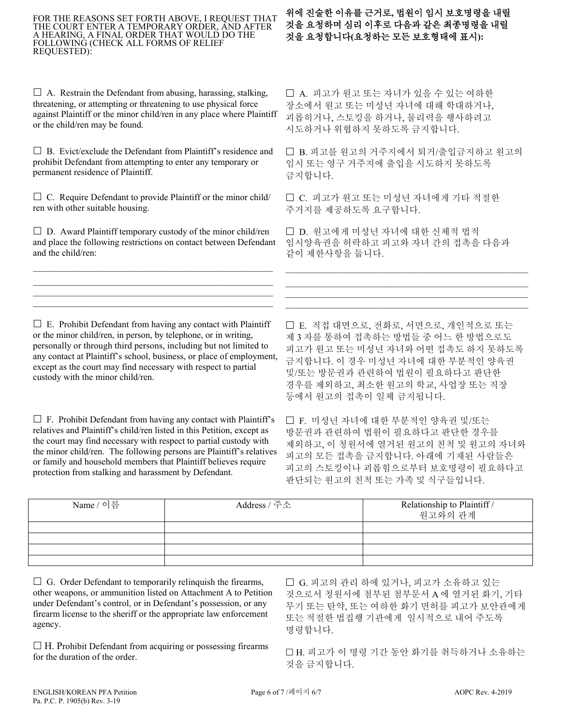#### FOR THE REASONS SET FORTH ABOVE, I REQUEST THAT THE COURT ENTER A TEMPORARY ORDER, AND AFTER A HEARING, A FINAL ORDER THAT WOULD DO THE FOLLOWING (CHECK ALL FORMS OF RELIEF REQUESTED):

 $\Box$  A. Restrain the Defendant from abusing, harassing, stalking, threatening, or attempting or threatening to use physical force against Plaintiff or the minor child/ren in any place where Plaintiff or the child/ren may be found.

 $\Box$  B. Evict/exclude the Defendant from Plaintiff's residence and prohibit Defendant from attempting to enter any temporary or permanent residence of Plaintiff.

 $\Box$  C. Require Defendant to provide Plaintiff or the minor child/ ren with other suitable housing.

 $\square$  D. Award Plaintiff temporary custody of the minor child/ren and place the following restrictions on contact between Defendant and the child/ren:

\_\_\_\_\_\_\_\_\_\_\_\_\_\_\_\_\_\_\_\_\_\_\_\_\_\_\_\_\_\_\_\_\_\_\_\_\_\_\_\_\_\_\_\_\_\_\_\_\_\_\_\_  $\mathcal{L}_\text{max} = \mathcal{L}_\text{max} = \mathcal{L}_\text{max} = \mathcal{L}_\text{max} = \mathcal{L}_\text{max} = \mathcal{L}_\text{max} = \mathcal{L}_\text{max} = \mathcal{L}_\text{max} = \mathcal{L}_\text{max} = \mathcal{L}_\text{max} = \mathcal{L}_\text{max} = \mathcal{L}_\text{max} = \mathcal{L}_\text{max} = \mathcal{L}_\text{max} = \mathcal{L}_\text{max} = \mathcal{L}_\text{max} = \mathcal{L}_\text{max} = \mathcal{L}_\text{max} = \mathcal{$  $\mathcal{L}_\text{max} = \mathcal{L}_\text{max} = \mathcal{L}_\text{max} = \mathcal{L}_\text{max} = \mathcal{L}_\text{max} = \mathcal{L}_\text{max} = \mathcal{L}_\text{max} = \mathcal{L}_\text{max} = \mathcal{L}_\text{max} = \mathcal{L}_\text{max} = \mathcal{L}_\text{max} = \mathcal{L}_\text{max} = \mathcal{L}_\text{max} = \mathcal{L}_\text{max} = \mathcal{L}_\text{max} = \mathcal{L}_\text{max} = \mathcal{L}_\text{max} = \mathcal{L}_\text{max} = \mathcal{$  $\mathcal{L}_\mathcal{L}$  , and the set of the set of the set of the set of the set of the set of the set of the set of the set of the set of the set of the set of the set of the set of the set of the set of the set of the set of th

# 위에 진술한 이유를 근거로**,** 법원이 임시 보호명령을 내릴 것을 요청하며 심리 이후로 다음과 같은 최종명령을 내릴 것을 요청합니다**(**요청하는 모든 보호형태에 표시**):**

□ A. 피고가 원고 또는 자녀가 있을 수 있는 여하한 장소에서 원고 또는 미성년 자녀에 대해 학대하거나, 괴롭히거나, 스토킹을 하거나, 물리력을 행사하려고 시도하거나 위협하지 못하도록 금지합니다.

□ B. 피고를 원고의 거주지에서 퇴거/출입금지하고 원고의 임시 또는 영구 거주지에 출입을 시도하지 못하도록 금지합니다.

 C. 피고가 원고 또는 미성년 자녀에게 기타 적절한 주거지를 제공하도록 요구합니다.

□ D. 원고에게 미성년 자녀에 대한 신체적 법적 임시양육권을 허락하고 피고와 자녀 간의 접촉을 다음과 같이 제한사항을 둡니다.

 $\mathcal{L}_\text{max}$  and  $\mathcal{L}_\text{max}$  and  $\mathcal{L}_\text{max}$  and  $\mathcal{L}_\text{max}$  and  $\mathcal{L}_\text{max}$ \_\_\_\_\_\_\_\_\_\_\_\_\_\_\_\_\_\_\_\_\_\_\_\_\_\_\_\_\_\_\_\_\_\_\_\_\_\_\_\_\_\_\_\_\_\_\_\_\_\_\_\_\_  $\mathcal{L}_\text{max}$  and  $\mathcal{L}_\text{max}$  and  $\mathcal{L}_\text{max}$  and  $\mathcal{L}_\text{max}$  and  $\mathcal{L}_\text{max}$ \_\_\_\_\_\_\_\_\_\_\_\_\_\_\_\_\_\_\_\_\_\_\_\_\_\_\_\_\_\_\_\_\_\_\_\_\_\_\_\_\_\_\_\_\_\_\_\_\_\_\_\_\_

 $\Box$  E. Prohibit Defendant from having any contact with Plaintiff or the minor child/ren, in person, by telephone, or in writing, personally or through third persons, including but not limited to any contact at Plaintiff's school, business, or place of employment, except as the court may find necessary with respect to partial custody with the minor child/ren.

 $\Box$  F. Prohibit Defendant from having any contact with Plaintiff's relatives and Plaintiff's child/ren listed in this Petition, except as the court may find necessary with respect to partial custody with the minor child/ren. The following persons are Plaintiff's relatives or family and household members that Plaintiff believes require protection from stalking and harassment by Defendant.

 E. 직접 대면으로, 전화로, 서면으로, 개인적으로 또는 제 3 자를 통하여 접촉하는 방법들 중 어느 한 방법으로도 피고가 원고 또는 미성년 자녀와 어떤 접촉도 하지 못하도록 금지합니다. 이 경우 미성년 자녀에 대한 부분적인 양육권 및/또는 방문권과 관련하여 법원이 필요하다고 판단한 경우를 제외하고, 최소한 원고의 학교, 사업장 또는 직장 등에서 원고의 접촉이 일체 금지됩니다.

 F. 미성년 자녀에 대한 부분적인 양육권 및/또는 방문권과 관련하여 법원이 필요하다고 판단한 경우를 제외하고, 이 청원서에 열거된 원고의 친척 및 원고의 자녀와 피고의 모든 접촉을 금지합니다. 아래에 기재된 사람들은 피고의 스토킹이나 괴롭힘으로부터 보호명령이 필요하다고 판단되는 원고의 친척 또는 가족 및 식구들입니다.

| Name / 이름 | Address / 주소 | Relationship to Plaintiff /<br>원고와의 관계 |
|-----------|--------------|----------------------------------------|
|           |              |                                        |
|           |              |                                        |
|           |              |                                        |
|           |              |                                        |

 $\Box$  G. Order Defendant to temporarily relinquish the firearms, other weapons, or ammunition listed on Attachment A to Petition under Defendant's control, or in Defendant's possession, or any firearm license to the sheriff or the appropriate law enforcement agency.

 $\Box$  H. Prohibit Defendant from acquiring or possessing firearms for the duration of the order.

□ G. 피고의 관리 하에 있거나, 피고가 소유하고 있는 것으로서 청원서에 첨부된 첨부문서 A 에 열거된 화기, 기타 무기 또는 탄약, 또는 여하한 화기 면허를 피고가 보안관에게 또는 적절한 법집행 기관에게 일시적으로 내어 주도록 명령합니다.

□H. 피고가 이 명령 기간 동안 화기를 취득하거나 소유하는 것을 금지합니다.